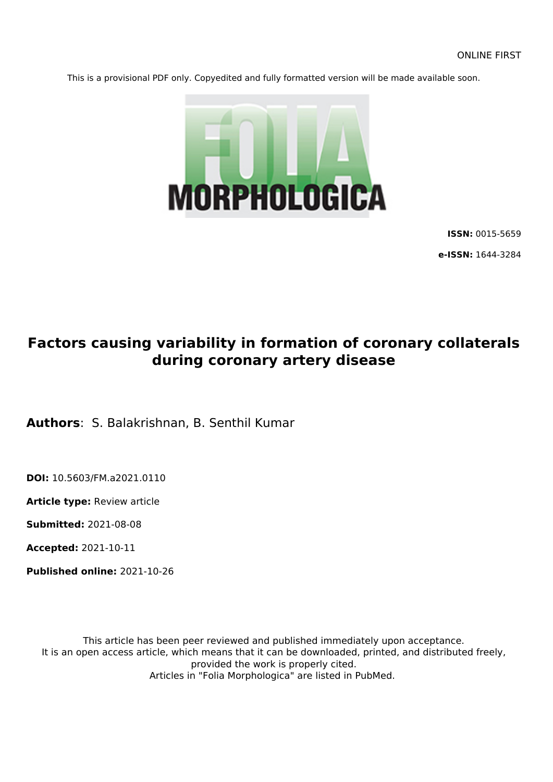This is a provisional PDF only. Copyedited and fully formatted version will be made available soon.



**ISSN:** 0015-5659

**e-ISSN:** 1644-3284

# **Factors causing variability in formation of coronary collaterals during coronary artery disease**

**Authors**: S. Balakrishnan, B. Senthil Kumar

**DOI:** 10.5603/FM.a2021.0110

**Article type:** Review article

**Submitted:** 2021-08-08

**Accepted:** 2021-10-11

**Published online:** 2021-10-26

This article has been peer reviewed and published immediately upon acceptance. It is an open access article, which means that it can be downloaded, printed, and distributed freely, provided the work is properly cited. Articles in "Folia Morphologica" are listed in PubMed.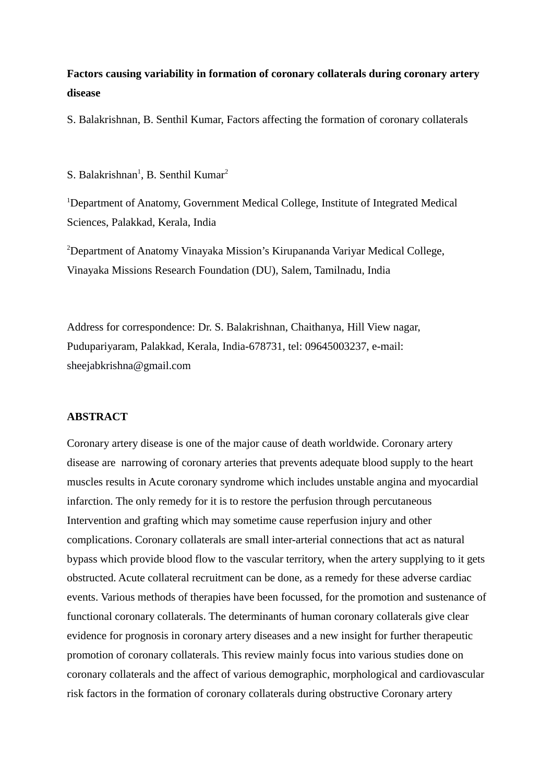# **Factors causing variability in formation of coronary collaterals during coronary artery disease**

S. Balakrishnan, B. Senthil Kumar, Factors affecting the formation of coronary collaterals

#### S. Balakrishnan<sup>1</sup>, B. Senthil Kumar<sup>2</sup>

<sup>1</sup>Department of Anatomy, Government Medical College, Institute of Integrated Medical Sciences, Palakkad, Kerala, India

<sup>2</sup>Department of Anatomy Vinayaka Mission's Kirupananda Variyar Medical College, Vinayaka Missions Research Foundation (DU), Salem, Tamilnadu, India

Address for correspondence: Dr. S. Balakrishnan, Chaithanya, Hill View nagar, Pudupariyaram, Palakkad, Kerala, India-678731, tel: 09645003237, e-mail: [sheejabkrishna@gmail.com](mailto:sheejabkrishna@gmail.com)

#### **ABSTRACT**

Coronary artery disease is one of the major cause of death worldwide. Coronary artery disease are narrowing of coronary arteries that prevents adequate blood supply to the heart muscles results in Acute coronary syndrome which includes unstable angina and myocardial infarction. The only remedy for it is to restore the perfusion through percutaneous Intervention and grafting which may sometime cause reperfusion injury and other complications. Coronary collaterals are small inter-arterial connections that act as natural bypass which provide blood flow to the vascular territory, when the artery supplying to it gets obstructed. Acute collateral recruitment can be done, as a remedy for these adverse cardiac events. Various methods of therapies have been focussed, for the promotion and sustenance of functional coronary collaterals. The determinants of human coronary collaterals give clear evidence for prognosis in coronary artery diseases and a new insight for further therapeutic promotion of coronary collaterals. This review mainly focus into various studies done on coronary collaterals and the affect of various demographic, morphological and cardiovascular risk factors in the formation of coronary collaterals during obstructive Coronary artery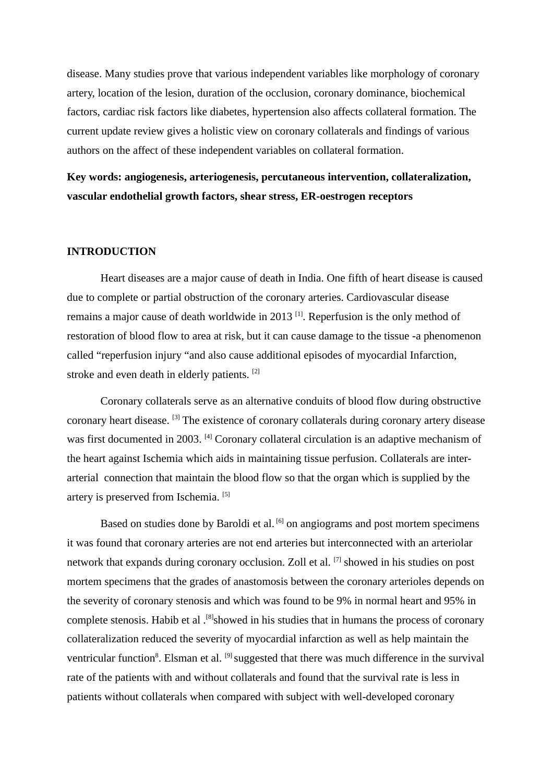disease. Many studies prove that various independent variables like morphology of coronary artery, location of the lesion, duration of the occlusion, coronary dominance, biochemical factors, cardiac risk factors like diabetes, hypertension also affects collateral formation. The current update review gives a holistic view on coronary collaterals and findings of various authors on the affect of these independent variables on collateral formation.

**Key words: angiogenesis, arteriogenesis, percutaneous intervention, collateralization, vascular endothelial growth factors, shear stress, ER-oestrogen receptors** 

# **INTRODUCTION**

Heart diseases are a major cause of death in India. One fifth of heart disease is caused due to complete or partial obstruction of the coronary arteries. Cardiovascular disease remains a major cause of death worldwide in 2013 $^{[1]}$ . Reperfusion is the only method of restoration of blood flow to area at risk, but it can cause damage to the tissue -a phenomenon called "reperfusion injury "and also cause additional episodes of myocardial Infarction, stroke and even death in elderly patients. [2]

Coronary collaterals serve as an alternative conduits of blood flow during obstructive coronary heart disease. [3] The existence of coronary collaterals during coronary artery disease was first documented in 2003. [4] Coronary collateral circulation is an adaptive mechanism of the heart against Ischemia which aids in maintaining tissue perfusion. Collaterals are interarterial connection that maintain the blood flow so that the organ which is supplied by the artery is preserved from Ischemia. [5]

Based on studies done by Baroldi et al.  $^{[6]}$  on angiograms and post mortem specimens it was found that coronary arteries are not end arteries but interconnected with an arteriolar network that expands during coronary occlusion. Zoll et al. [7] showed in his studies on post mortem specimens that the grades of anastomosis between the coronary arterioles depends on the severity of coronary stenosis and which was found to be 9% in normal heart and 95% in complete stenosis. Habib et al .<sup>[8]</sup>showed in his studies that in humans the process of coronary collateralization reduced the severity of myocardial infarction as well as help maintain the ventricular function<sup>8</sup>. Elsman et al. <sup>[9]</sup> suggested that there was much difference in the survival rate of the patients with and without collaterals and found that the survival rate is less in patients without collaterals when compared with subject with well-developed coronary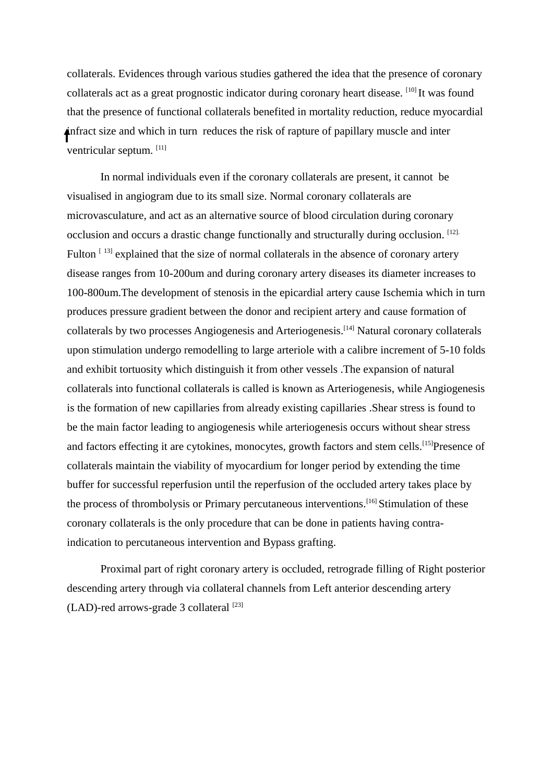collaterals. Evidences through various studies gathered the idea that the presence of coronary collaterals act as a great prognostic indicator during coronary heart disease. [10] It was found that the presence of functional collaterals benefited in mortality reduction, reduce myocardial infract size and which in turn reduces the risk of rapture of papillary muscle and inter ventricular septum. [11]

In normal individuals even if the coronary collaterals are present, it cannot be visualised in angiogram due to its small size. Normal coronary collaterals are microvasculature, and act as an alternative source of blood circulation during coronary occlusion and occurs a drastic change functionally and structurally during occlusion. [12]. Fulton  $[13]$  explained that the size of normal collaterals in the absence of coronary artery disease ranges from 10-200um and during coronary artery diseases its diameter increases to 100-800um.The development of stenosis in the epicardial artery cause Ischemia which in turn produces pressure gradient between the donor and recipient artery and cause formation of collaterals by two processes Angiogenesis and Arteriogenesis.[14] Natural coronary collaterals upon stimulation undergo remodelling to large arteriole with a calibre increment of 5-10 folds and exhibit tortuosity which distinguish it from other vessels .The expansion of natural collaterals into functional collaterals is called is known as Arteriogenesis, while Angiogenesis is the formation of new capillaries from already existing capillaries .Shear stress is found to be the main factor leading to angiogenesis while arteriogenesis occurs without shear stress and factors effecting it are cytokines, monocytes, growth factors and stem cells.<sup>[15]</sup>Presence of collaterals maintain the viability of myocardium for longer period by extending the time buffer for successful reperfusion until the reperfusion of the occluded artery takes place by the process of thrombolysis or Primary percutaneous interventions.<sup>[16]</sup> Stimulation of these coronary collaterals is the only procedure that can be done in patients having contraindication to percutaneous intervention and Bypass grafting.

Proximal part of right coronary artery is occluded, retrograde filling of Right posterior descending artery through via collateral channels from Left anterior descending artery  $(LAD)$ -red arrows-grade 3 collateral  $[23]$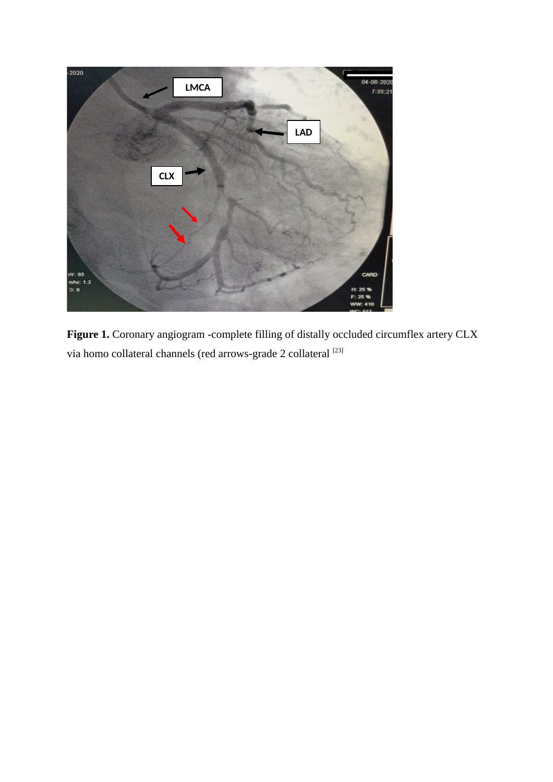

**Figure 1.** Coronary angiogram -complete filling of distally occluded circumflex artery CLX via homo collateral channels (red arrows-grade 2 collateral  $^{\left[23\right]}$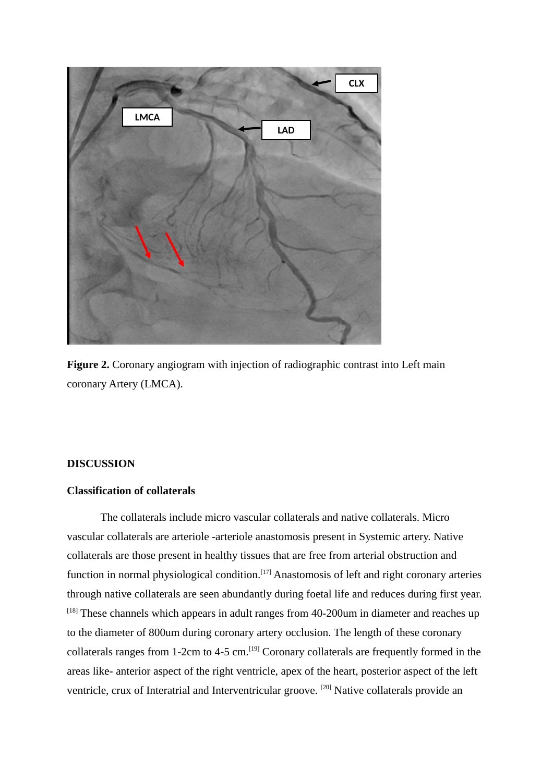

**Figure 2.** Coronary angiogram with injection of radiographic contrast into Left main coronary Artery (LMCA).

# **DISCUSSION**

#### **Classification of collaterals**

The collaterals include micro vascular collaterals and native collaterals. Micro vascular collaterals are arteriole -arteriole anastomosis present in Systemic artery. Native collaterals are those present in healthy tissues that are free from arterial obstruction and function in normal physiological condition.<sup>[17]</sup> Anastomosis of left and right coronary arteries through native collaterals are seen abundantly during foetal life and reduces during first year.  $[18]$  These channels which appears in adult ranges from 40-200 um in diameter and reaches up to the diameter of 800um during coronary artery occlusion. The length of these coronary collaterals ranges from 1-2cm to 4-5 cm.<sup>[19]</sup> Coronary collaterals are frequently formed in the areas like- anterior aspect of the right ventricle, apex of the heart, posterior aspect of the left ventricle, crux of Interatrial and Interventricular groove. [20] Native collaterals provide an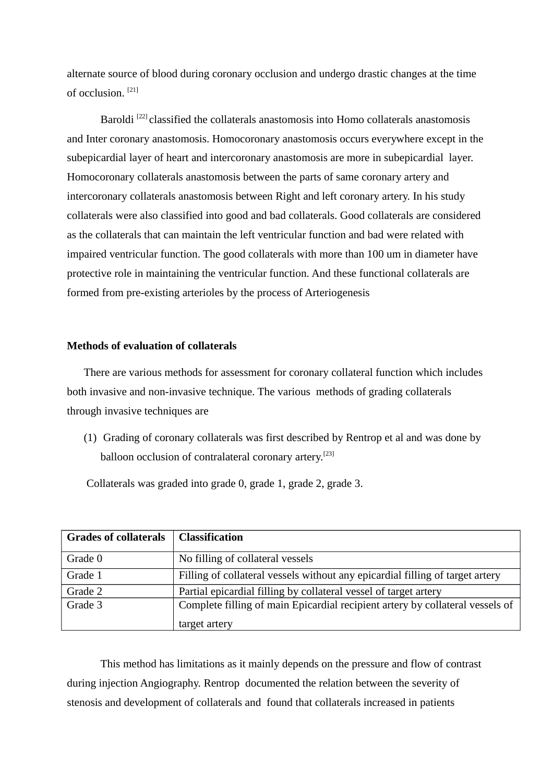alternate source of blood during coronary occlusion and undergo drastic changes at the time of occlusion. [21]

Baroldi<sup>[22]</sup> classified the collaterals anastomosis into Homo collaterals anastomosis and Inter coronary anastomosis. Homocoronary anastomosis occurs everywhere except in the subepicardial layer of heart and intercoronary anastomosis are more in subepicardial layer. Homocoronary collaterals anastomosis between the parts of same coronary artery and intercoronary collaterals anastomosis between Right and left coronary artery. In his study collaterals were also classified into good and bad collaterals. Good collaterals are considered as the collaterals that can maintain the left ventricular function and bad were related with impaired ventricular function. The good collaterals with more than 100 um in diameter have protective role in maintaining the ventricular function. And these functional collaterals are formed from pre-existing arterioles by the process of Arteriogenesis

## **Methods of evaluation of collaterals**

There are various methods for assessment for coronary collateral function which includes both invasive and non-invasive technique. The various methods of grading collaterals through invasive techniques are

(1) Grading of coronary collaterals was first described by Rentrop et al and was done by balloon occlusion of contralateral coronary artery.<sup>[23]</sup>

Collaterals was graded into grade 0, grade 1, grade 2, grade 3.

| <b>Grades of collaterals</b> | <b>Classification</b>                                                         |
|------------------------------|-------------------------------------------------------------------------------|
| Grade 0                      | No filling of collateral vessels                                              |
| Grade 1                      | Filling of collateral vessels without any epicardial filling of target artery |
| Grade 2                      | Partial epicardial filling by collateral vessel of target artery              |
| Grade 3                      | Complete filling of main Epicardial recipient artery by collateral vessels of |
|                              | target artery                                                                 |

This method has limitations as it mainly depends on the pressure and flow of contrast during injection Angiography. Rentrop documented the relation between the severity of stenosis and development of collaterals and found that collaterals increased in patients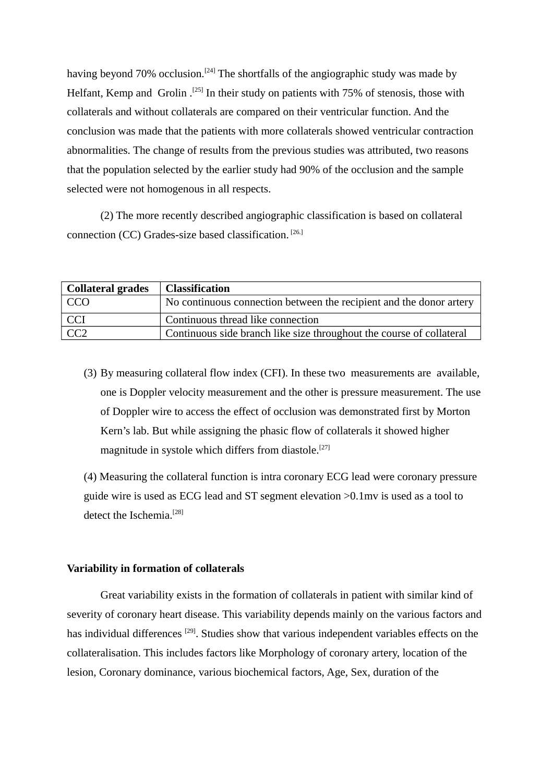having beyond 70% occlusion.<sup>[24]</sup> The shortfalls of the angiographic study was made by Helfant, Kemp and Grolin .<sup>[25]</sup> In their study on patients with 75% of stenosis, those with collaterals and without collaterals are compared on their ventricular function. And the conclusion was made that the patients with more collaterals showed ventricular contraction abnormalities. The change of results from the previous studies was attributed, two reasons that the population selected by the earlier study had 90% of the occlusion and the sample selected were not homogenous in all respects.

(2) The more recently described angiographic classification is based on collateral connection (CC) Grades-size based classification. [26.]

| <b>Collateral grades</b> | <b>Classification</b>                                                |
|--------------------------|----------------------------------------------------------------------|
| CCO                      | No continuous connection between the recipient and the donor artery  |
| CCI <sup></sup>          | Continuous thread like connection                                    |
| CC <sub>2</sub>          | Continuous side branch like size throughout the course of collateral |

(3) By measuring collateral flow index (CFI). In these two measurements are available, one is Doppler velocity measurement and the other is pressure measurement. The use of Doppler wire to access the effect of occlusion was demonstrated first by Morton Kern's lab. But while assigning the phasic flow of collaterals it showed higher magnitude in systole which differs from diastole.<sup>[27]</sup>

(4) Measuring the collateral function is intra coronary ECG lead were coronary pressure guide wire is used as ECG lead and ST segment elevation >0.1mv is used as a tool to detect the Ischemia.<sup>[28]</sup>

#### **Variability in formation of collaterals**

Great variability exists in the formation of collaterals in patient with similar kind of severity of coronary heart disease. This variability depends mainly on the various factors and has individual differences<sup>[29]</sup>. Studies show that various independent variables effects on the collateralisation. This includes factors like Morphology of coronary artery, location of the lesion, Coronary dominance, various biochemical factors, Age, Sex, duration of the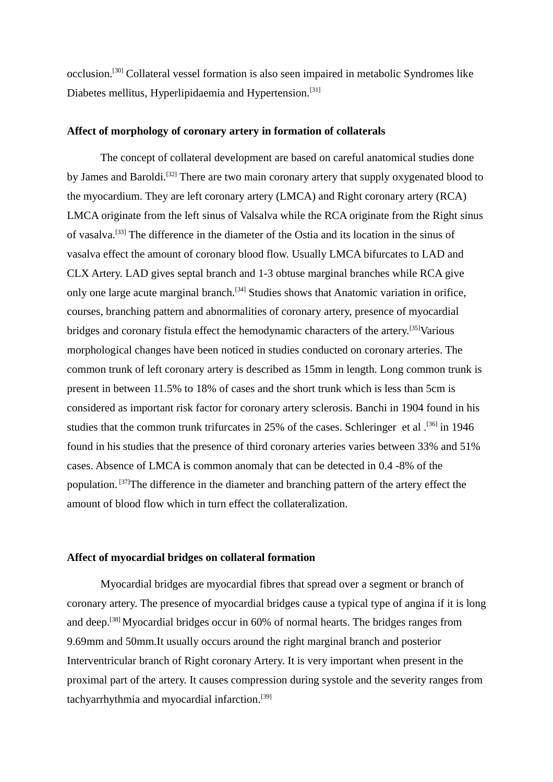occlusion.[30] Collateral vessel formation is also seen impaired in metabolic Syndromes like Diabetes mellitus, Hyperlipidaemia and Hypertension.<sup>[31]</sup>

# **Affect of morphology of coronary artery in formation of collaterals**

The concept of collateral development are based on careful anatomical studies done by James and Baroldi.<sup>[32]</sup> There are two main coronary artery that supply oxygenated blood to the myocardium. They are left coronary artery (LMCA) and Right coronary artery (RCA) LMCA originate from the left sinus of Valsalva while the RCA originate from the Right sinus of vasalva.[33] The difference in the diameter of the Ostia and its location in the sinus of vasalva effect the amount of coronary blood flow. Usually LMCA bifurcates to LAD and CLX Artery. LAD gives septal branch and 1-3 obtuse marginal branches while RCA give only one large acute marginal branch.<sup>[34]</sup> Studies shows that Anatomic variation in orifice, courses, branching pattern and abnormalities of coronary artery, presence of myocardial bridges and coronary fistula effect the hemodynamic characters of the artery.<sup>[35]</sup>Various morphological changes have been noticed in studies conducted on coronary arteries. The common trunk of left coronary artery is described as 15mm in length. Long common trunk is present in between 11.5% to 18% of cases and the short trunk which is less than 5cm is considered as important risk factor for coronary artery sclerosis. Banchi in 1904 found in his studies that the common trunk trifurcates in 25% of the cases. Schleringer et al.<sup>[36]</sup> in 1946 found in his studies that the presence of third coronary arteries varies between 33% and 51% cases. Absence of LMCA is common anomaly that can be detected in 0.4 -8% of the population. [37]The difference in the diameter and branching pattern of the artery effect the amount of blood flow which in turn effect the collateralization.

#### **Affect of myocardial bridges on collateral formation**

Myocardial bridges are myocardial fibres that spread over a segment or branch of coronary artery. The presence of myocardial bridges cause a typical type of angina if it is long and deep.<sup>[38]</sup> Myocardial bridges occur in 60% of normal hearts. The bridges ranges from 9.69mm and 50mm.It usually occurs around the right marginal branch and posterior Interventricular branch of Right coronary Artery. It is very important when present in the proximal part of the artery. It causes compression during systole and the severity ranges from tachyarrhythmia and myocardial infarction.<sup>[39]</sup>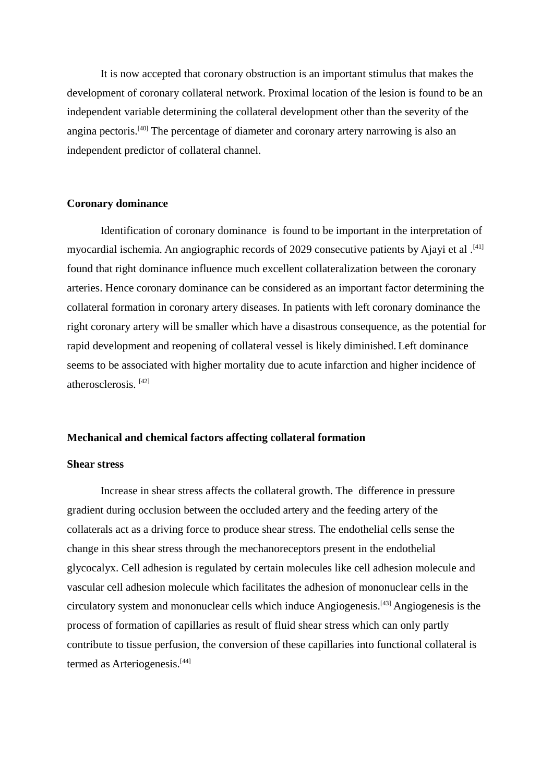It is now accepted that coronary obstruction is an important stimulus that makes the development of coronary collateral network. Proximal location of the lesion is found to be an independent variable determining the collateral development other than the severity of the angina pectoris.[40] The percentage of diameter and coronary artery narrowing is also an independent predictor of collateral channel.

#### **Coronary dominance**

Identification of coronary dominance is found to be important in the interpretation of myocardial ischemia. An angiographic records of 2029 consecutive patients by Ajayi et al .<sup>[41]</sup> found that right dominance influence much excellent collateralization between the coronary arteries. Hence coronary dominance can be considered as an important factor determining the collateral formation in coronary artery diseases. In patients with left coronary dominance the right coronary artery will be smaller which have a disastrous consequence, as the potential for rapid development and reopening of collateral vessel is likely diminished. Left dominance seems to be associated with higher mortality due to acute infarction and higher incidence of atherosclerosis. [42]

#### **Mechanical and chemical factors affecting collateral formation**

#### **Shear stress**

Increase in shear stress affects the collateral growth. The difference in pressure gradient during occlusion between the occluded artery and the feeding artery of the collaterals act as a driving force to produce shear stress. The endothelial cells sense the change in this shear stress through the mechanoreceptors present in the endothelial glycocalyx. Cell adhesion is regulated by certain molecules like cell adhesion molecule and vascular cell adhesion molecule which facilitates the adhesion of mononuclear cells in the circulatory system and mononuclear cells which induce Angiogenesis.[43] Angiogenesis is the process of formation of capillaries as result of fluid shear stress which can only partly contribute to tissue perfusion, the conversion of these capillaries into functional collateral is termed as Arteriogenesis.<sup>[44]</sup>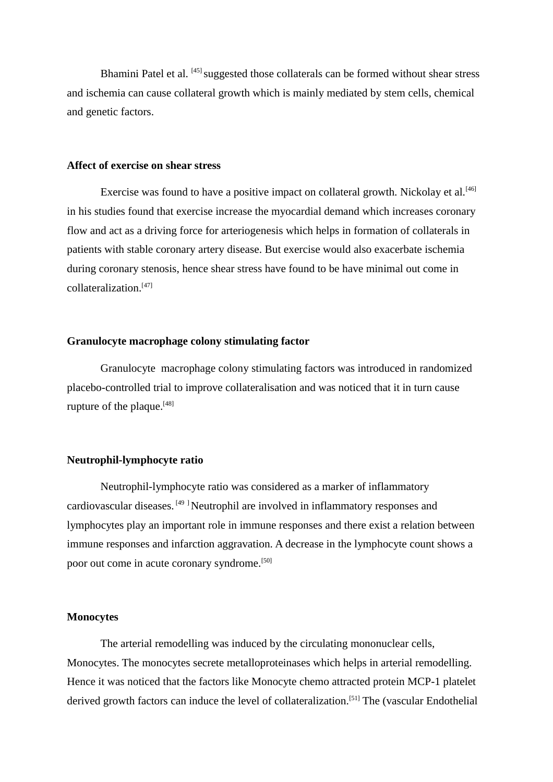Bhamini Patel et al. [45] suggested those collaterals can be formed without shear stress and ischemia can cause collateral growth which is mainly mediated by stem cells, chemical and genetic factors.

#### **Affect of exercise on shear stress**

Exercise was found to have a positive impact on collateral growth. Nickolay et al.<sup>[46]</sup> in his studies found that exercise increase the myocardial demand which increases coronary flow and act as a driving force for arteriogenesis which helps in formation of collaterals in patients with stable coronary artery disease. But exercise would also exacerbate ischemia during coronary stenosis, hence shear stress have found to be have minimal out come in collateralization.[47]

#### **Granulocyte macrophage colony stimulating factor**

Granulocyte macrophage colony stimulating factors was introduced in randomized placebo-controlled trial to improve collateralisation and was noticed that it in turn cause rupture of the plaque. $[48]$ 

#### **Neutrophil-lymphocyte ratio**

Neutrophil-lymphocyte ratio was considered as a marker of inflammatory cardiovascular diseases. [49 ] Neutrophil are involved in inflammatory responses and lymphocytes play an important role in immune responses and there exist a relation between immune responses and infarction aggravation. A decrease in the lymphocyte count shows a poor out come in acute coronary syndrome.<sup>[50]</sup>

#### **Monocytes**

The arterial remodelling was induced by the circulating mononuclear cells, Monocytes. The monocytes secrete metalloproteinases which helps in arterial remodelling. Hence it was noticed that the factors like Monocyte chemo attracted protein MCP-1 platelet derived growth factors can induce the level of collateralization.<sup>[51]</sup> The (vascular Endothelial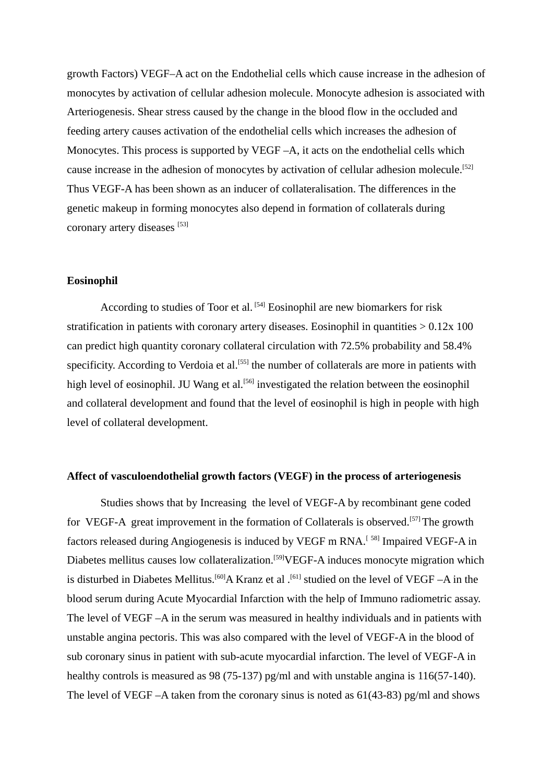growth Factors) VEGF–A act on the Endothelial cells which cause increase in the adhesion of monocytes by activation of cellular adhesion molecule. Monocyte adhesion is associated with Arteriogenesis. Shear stress caused by the change in the blood flow in the occluded and feeding artery causes activation of the endothelial cells which increases the adhesion of Monocytes. This process is supported by VEGF –A, it acts on the endothelial cells which cause increase in the adhesion of monocytes by activation of cellular adhesion molecule.<sup>[52]</sup> Thus VEGF-A has been shown as an inducer of collateralisation. The differences in the genetic makeup in forming monocytes also depend in formation of collaterals during coronary artery diseases [53]

## **Eosinophil**

According to studies of Toor et al. [54] Eosinophil are new biomarkers for risk stratification in patients with coronary artery diseases. Eosinophil in quantities  $> 0.12x 100$ can predict high quantity coronary collateral circulation with 72.5% probability and 58.4% specificity. According to Verdoia et al.<sup>[55]</sup> the number of collaterals are more in patients with high level of eosinophil. JU Wang et al.<sup>[56]</sup> investigated the relation between the eosinophil and collateral development and found that the level of eosinophil is high in people with high level of collateral development.

#### **Affect of vasculoendothelial growth factors (VEGF) in the process of arteriogenesis**

Studies shows that by Increasing the level of VEGF-A by recombinant gene coded for VEGF-A great improvement in the formation of Collaterals is observed.<sup>[57]</sup> The growth factors released during Angiogenesis is induced by VEGF m RNA.<sup>[58]</sup> Impaired VEGF-A in Diabetes mellitus causes low collateralization.<sup>[59]</sup>VEGF-A induces monocyte migration which is disturbed in Diabetes Mellitus.<sup>[60]</sup>A Kranz et al .<sup>[61]</sup> studied on the level of VEGF –A in the blood serum during Acute Myocardial Infarction with the help of Immuno radiometric assay. The level of VEGF –A in the serum was measured in healthy individuals and in patients with unstable angina pectoris. This was also compared with the level of VEGF-A in the blood of sub coronary sinus in patient with sub-acute myocardial infarction. The level of VEGF-A in healthy controls is measured as 98 (75-137) pg/ml and with unstable angina is 116(57-140). The level of VEGF –A taken from the coronary sinus is noted as 61(43-83) pg/ml and shows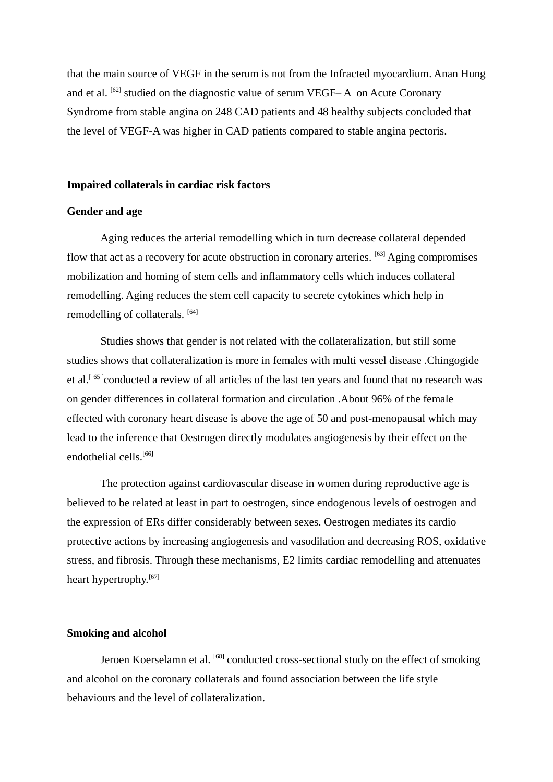that the main source of VEGF in the serum is not from the Infracted myocardium. Anan Hung and et al.  $^{[62]}$  studied on the diagnostic value of serum VEGF– $A$  on Acute Coronary Syndrome from stable angina on 248 CAD patients and 48 healthy subjects concluded that the level of VEGF-A was higher in CAD patients compared to stable angina pectoris.

#### **Impaired collaterals in cardiac risk factors**

#### **Gender and age**

Aging reduces the arterial remodelling which in turn decrease collateral depended flow that act as a recovery for acute obstruction in coronary arteries. [63] Aging compromises mobilization and homing of stem cells and inflammatory cells which induces collateral remodelling. Aging reduces the stem cell capacity to secrete cytokines which help in remodelling of collaterals. [64]

Studies shows that gender is not related with the collateralization, but still some studies shows that collateralization is more in females with multi vessel disease .Chingogide et al.<sup>[65]</sup>conducted a review of all articles of the last ten years and found that no research was on gender differences in collateral formation and circulation .About 96% of the female effected with coronary heart disease is above the age of 50 and post-menopausal which may lead to the inference that Oestrogen directly modulates angiogenesis by their effect on the endothelial cells.[66]

The protection against cardiovascular disease in women during reproductive age is believed to be related at least in part to oestrogen, since endogenous levels of oestrogen and the expression of ERs differ considerably between sexes. Oestrogen mediates its cardio protective actions by increasing angiogenesis and vasodilation and decreasing ROS, oxidative stress, and fibrosis. Through these mechanisms, E2 limits cardiac remodelling and attenuates heart hypertrophy.<sup>[67]</sup>

#### **Smoking and alcohol**

Jeroen Koerselamn et al. [68] conducted cross-sectional study on the effect of smoking and alcohol on the coronary collaterals and found association between the life style behaviours and the level of collateralization.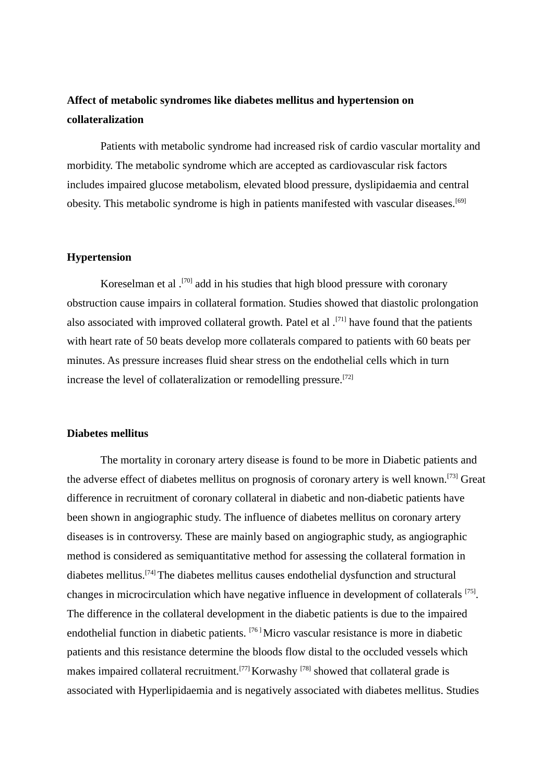# **Affect of metabolic syndromes like diabetes mellitus and hypertension on collateralization**

Patients with metabolic syndrome had increased risk of cardio vascular mortality and morbidity. The metabolic syndrome which are accepted as cardiovascular risk factors includes impaired glucose metabolism, elevated blood pressure, dyslipidaemia and central obesity. This metabolic syndrome is high in patients manifested with vascular diseases.<sup>[69]</sup>

#### **Hypertension**

Koreselman et al .[70] add in his studies that high blood pressure with coronary obstruction cause impairs in collateral formation. Studies showed that diastolic prolongation also associated with improved collateral growth. Patel et al.  $[71]$  have found that the patients with heart rate of 50 beats develop more collaterals compared to patients with 60 beats per minutes. As pressure increases fluid shear stress on the endothelial cells which in turn increase the level of collateralization or remodelling pressure.<sup>[72]</sup>

# **Diabetes mellitus**

The mortality in coronary artery disease is found to be more in Diabetic patients and the adverse effect of diabetes mellitus on prognosis of coronary artery is well known.[73] Great difference in recruitment of coronary collateral in diabetic and non-diabetic patients have been shown in angiographic study. The influence of diabetes mellitus on coronary artery diseases is in controversy. These are mainly based on angiographic study, as angiographic method is considered as semiquantitative method for assessing the collateral formation in diabetes mellitus.[74] The diabetes mellitus causes endothelial dysfunction and structural changes in microcirculation which have negative influence in development of collaterals [75]. The difference in the collateral development in the diabetic patients is due to the impaired endothelial function in diabetic patients. [76 ] Micro vascular resistance is more in diabetic patients and this resistance determine the bloods flow distal to the occluded vessels which makes impaired collateral recruitment.<sup>[77]</sup> Korwashy <sup>[78]</sup> showed that collateral grade is associated with Hyperlipidaemia and is negatively associated with diabetes mellitus. Studies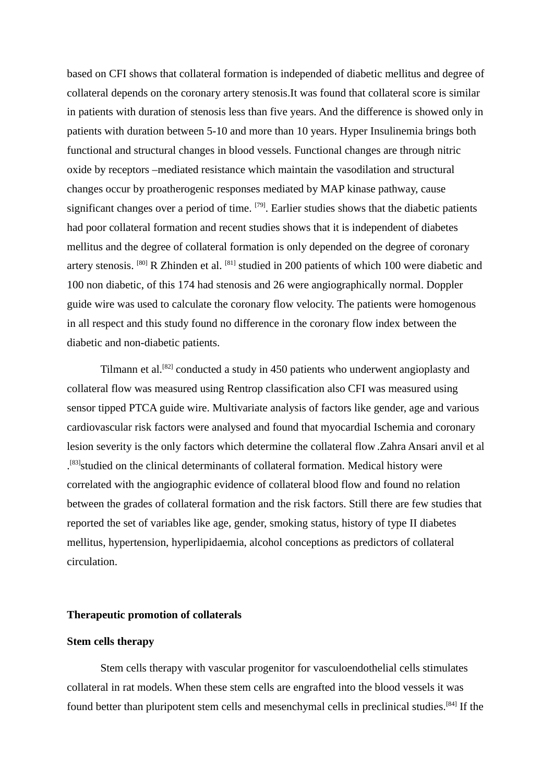based on CFI shows that collateral formation is independed of diabetic mellitus and degree of collateral depends on the coronary artery stenosis.It was found that collateral score is similar in patients with duration of stenosis less than five years. And the difference is showed only in patients with duration between 5-10 and more than 10 years. Hyper Insulinemia brings both functional and structural changes in blood vessels. Functional changes are through nitric oxide by receptors –mediated resistance which maintain the vasodilation and structural changes occur by proatherogenic responses mediated by MAP kinase pathway, cause significant changes over a period of time. <sup>[79]</sup>. Earlier studies shows that the diabetic patients had poor collateral formation and recent studies shows that it is independent of diabetes mellitus and the degree of collateral formation is only depended on the degree of coronary artery stenosis. [80] R Zhinden et al. [81] studied in 200 patients of which 100 were diabetic and 100 non diabetic, of this 174 had stenosis and 26 were angiographically normal. Doppler guide wire was used to calculate the coronary flow velocity. The patients were homogenous in all respect and this study found no difference in the coronary flow index between the diabetic and non-diabetic patients.

Tilmann et al.[82] conducted a study in 450 patients who underwent angioplasty and collateral flow was measured using Rentrop classification also CFI was measured using sensor tipped PTCA guide wire. Multivariate analysis of factors like gender, age and various cardiovascular risk factors were analysed and found that myocardial Ischemia and coronary lesion severity is the only factors which determine the collateral flow .Zahra Ansari anvil et al <sup>[83]</sup>studied on the clinical determinants of collateral formation. Medical history were correlated with the angiographic evidence of collateral blood flow and found no relation between the grades of collateral formation and the risk factors. Still there are few studies that reported the set of variables like age, gender, smoking status, history of type II diabetes mellitus, hypertension, hyperlipidaemia, alcohol conceptions as predictors of collateral circulation.

#### **Therapeutic promotion of collaterals**

#### **Stem cells therapy**

Stem cells therapy with vascular progenitor for vasculoendothelial cells stimulates collateral in rat models. When these stem cells are engrafted into the blood vessels it was found better than pluripotent stem cells and mesenchymal cells in preclinical studies.[84] If the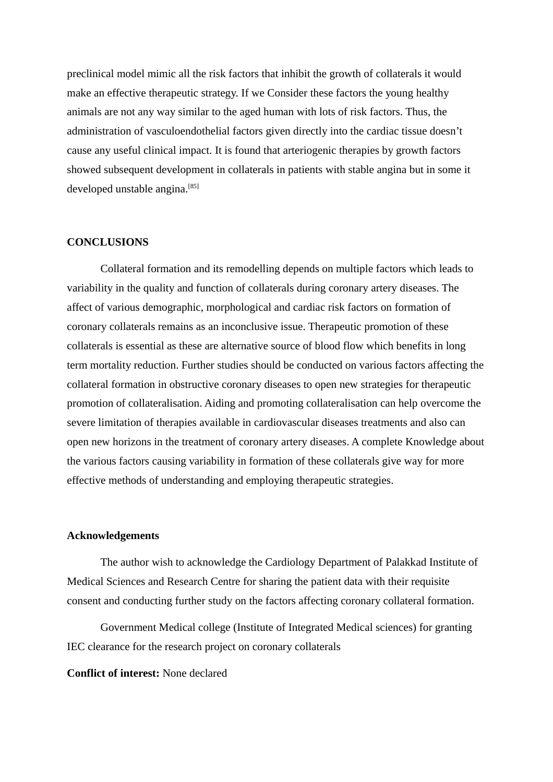preclinical model mimic all the risk factors that inhibit the growth of collaterals it would make an effective therapeutic strategy. If we Consider these factors the young healthy animals are not any way similar to the aged human with lots of risk factors. Thus, the administration of vasculoendothelial factors given directly into the cardiac tissue doesn't cause any useful clinical impact. It is found that arteriogenic therapies by growth factors showed subsequent development in collaterals in patients with stable angina but in some it developed unstable angina.<sup>[85]</sup>

#### **CONCLUSIONS**

Collateral formation and its remodelling depends on multiple factors which leads to variability in the quality and function of collaterals during coronary artery diseases. The affect of various demographic, morphological and cardiac risk factors on formation of coronary collaterals remains as an inconclusive issue. Therapeutic promotion of these collaterals is essential as these are alternative source of blood flow which benefits in long term mortality reduction. Further studies should be conducted on various factors affecting the collateral formation in obstructive coronary diseases to open new strategies for therapeutic promotion of collateralisation. Aiding and promoting collateralisation can help overcome the severe limitation of therapies available in cardiovascular diseases treatments and also can open new horizons in the treatment of coronary artery diseases. A complete Knowledge about the various factors causing variability in formation of these collaterals give way for more effective methods of understanding and employing therapeutic strategies.

#### **Acknowledgements**

The author wish to acknowledge the Cardiology Department of Palakkad Institute of Medical Sciences and Research Centre for sharing the patient data with their requisite consent and conducting further study on the factors affecting coronary collateral formation.

Government Medical college (Institute of Integrated Medical sciences) for granting IEC clearance for the research project on coronary collaterals

#### **Conflict of interest:** None declared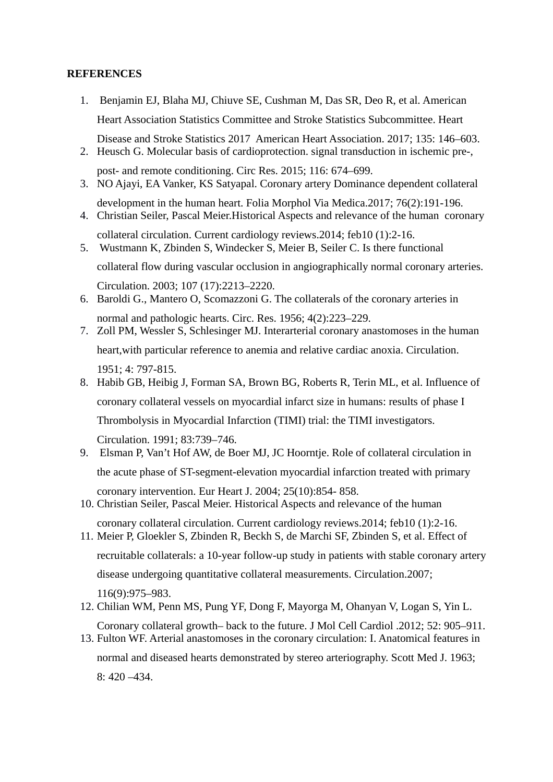# **REFERENCES**

- 1. Benjamin EJ, Blaha MJ, Chiuve SE, Cushman M, Das SR, Deo R, et al. American Heart Association Statistics Committee and Stroke Statistics Subcommittee. Heart Disease and Stroke Statistics 2017 American Heart Association. 2017; 135: 146–603.
- 2. Heusch G. Molecular basis of cardioprotection. signal transduction in ischemic pre-, post- and remote conditioning. Circ Res. 2015; 116: 674–699.
- 3. NO Ajayi, EA Vanker, KS Satyapal. Coronary artery Dominance dependent collateral development in the human heart. Folia Morphol Via Medica.2017; 76(2):191-196.
- 4. Christian Seiler, Pascal Meier.Historical Aspects and relevance of the human coronary collateral circulation. Current cardiology reviews.2014; feb10 (1):2-16.
- 5. Wustmann K, Zbinden S, Windecker S, Meier B, Seiler C. Is there functional collateral flow during vascular occlusion in angiographically normal coronary arteries. Circulation. 2003; 107 (17):2213–2220.
- 6. Baroldi G., Mantero O, Scomazzoni G. The collaterals of the coronary arteries in normal and pathologic hearts. Circ. Res. 1956; 4(2):223–229.
- 7. Zoll PM, Wessler S, Schlesinger MJ. Interarterial coronary anastomoses in the human heart,with particular reference to anemia and relative cardiac anoxia. Circulation. 1951; 4: 797-815.
- 8. Habib GB, Heibig J, Forman SA, Brown BG, Roberts R, Terin ML, et al. Influence of coronary collateral vessels on myocardial infarct size in humans: results of phase I Thrombolysis in Myocardial Infarction (TIMI) trial: the TIMI investigators. Circulation. 1991; 83:739–746.
- 9. Elsman P, Van't Hof AW, de Boer MJ, JC Hoorntje. Role of collateral circulation in the acute phase of ST-segment-elevation myocardial infarction treated with primary coronary intervention. Eur Heart J. 2004; 25(10):854- 858.
- 10. Christian Seiler, Pascal Meier. Historical Aspects and relevance of the human coronary collateral circulation. Current cardiology reviews.2014; feb10 (1):2-16.
- 11. Meier P, Gloekler S, Zbinden R, Beckh S, de Marchi SF, Zbinden S, et al. Effect of recruitable collaterals: a 10-year follow-up study in patients with stable coronary artery

disease undergoing quantitative collateral measurements. Circulation.2007;

116(9):975–983.

- 12. Chilian WM, Penn MS, Pung YF, Dong F, Mayorga M, Ohanyan V, Logan S, Yin L. Coronary collateral growth– back to the future. J Mol Cell Cardiol .2012; 52: 905–911.
- 13. Fulton WF. Arterial anastomoses in the coronary circulation: I. Anatomical features in normal and diseased hearts demonstrated by stereo arteriography. Scott Med J. 1963; 8: 420 –434.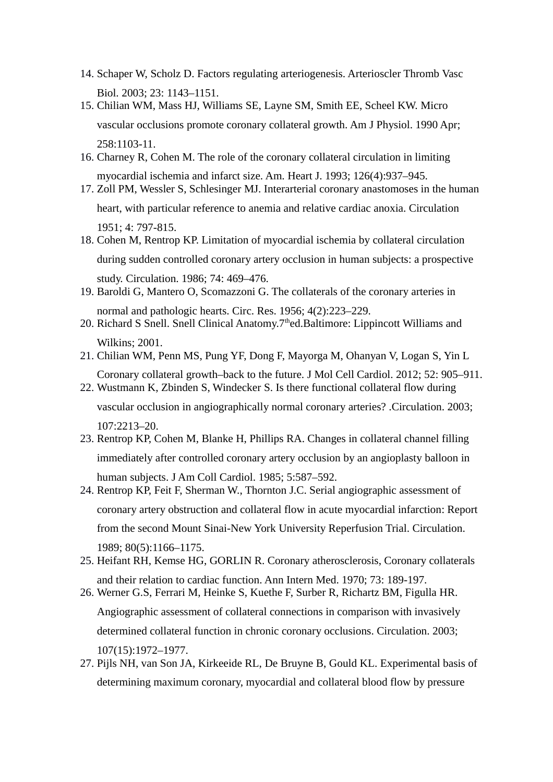- 14. Schaper W, Scholz D. Factors regulating arteriogenesis. Arterioscler Thromb Vasc Biol. 2003; 23: 1143–1151.
- 15. Chilian WM, Mass HJ, Williams SE, Layne SM, Smith EE, Scheel KW. Micro vascular occlusions promote coronary collateral growth. Am J Physiol. 1990 Apr; 258:1103-11.
- 16. Charney R, Cohen M. The role of the coronary collateral circulation in limiting myocardial ischemia and infarct size. Am. Heart J. 1993; 126(4):937–945.
- 17. Zoll PM, Wessler S, Schlesinger MJ. Interarterial coronary anastomoses in the human heart, with particular reference to anemia and relative cardiac anoxia. Circulation 1951; 4: 797-815.
- 18. Cohen M, Rentrop KP. Limitation of myocardial ischemia by collateral circulation during sudden controlled coronary artery occlusion in human subjects: a prospective study. Circulation. 1986; 74: 469–476.
- 19. Baroldi G, Mantero O, Scomazzoni G. The collaterals of the coronary arteries in normal and pathologic hearts. Circ. Res. 1956; 4(2):223–229.
- 20. Richard S Snell. Snell Clinical Anatomy.7<sup>th</sup>ed.Baltimore: Lippincott Williams and Wilkins; 2001.
- 21. Chilian WM, Penn MS, Pung YF, Dong F, Mayorga M, Ohanyan V, Logan S, Yin L Coronary collateral growth–back to the future. J Mol Cell Cardiol. 2012; 52: 905–911.
- 22. Wustmann K, Zbinden S, Windecker S. Is there functional collateral flow during

vascular occlusion in angiographically normal coronary arteries? .Circulation. 2003; 107:2213–20.

- 23. Rentrop KP, Cohen M, Blanke H, Phillips RA. Changes in collateral channel filling immediately after controlled coronary artery occlusion by an angioplasty balloon in human subjects. J Am Coll Cardiol. 1985; 5:587–592.
- 24. Rentrop KP, Feit F, Sherman W., Thornton J.C. Serial angiographic assessment of coronary artery obstruction and collateral flow in acute myocardial infarction: Report from the second Mount Sinai-New York University Reperfusion Trial. Circulation. 1989; 80(5):1166–1175.
- 25. Heifant RH, Kemse HG, GORLIN R. Coronary atherosclerosis, Coronary collaterals and their relation to cardiac function. Ann Intern Med. 1970; 73: 189-197.
- 26. Werner G.S, Ferrari M, Heinke S, Kuethe F, Surber R, Richartz BM, Figulla HR. Angiographic assessment of collateral connections in comparison with invasively determined collateral function in chronic coronary occlusions. Circulation. 2003; 107(15):1972–1977.
- 27. Pijls NH, van Son JA, Kirkeeide RL, De Bruyne B, Gould KL. Experimental basis of determining maximum coronary, myocardial and collateral blood flow by pressure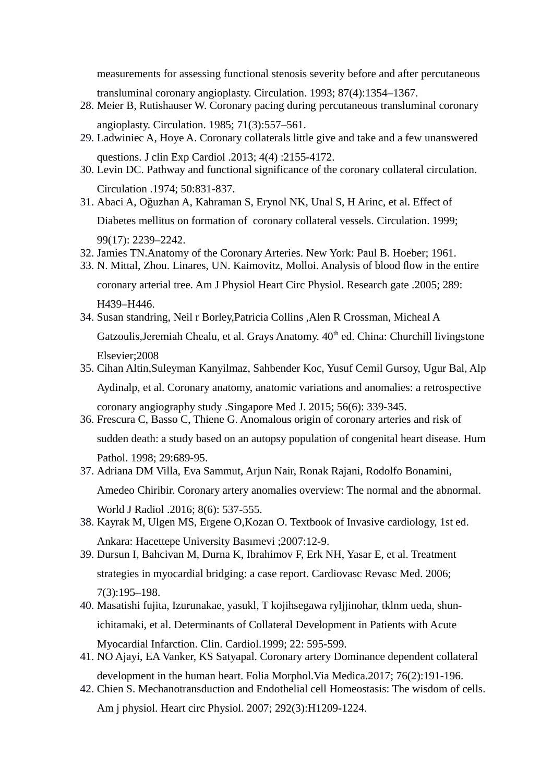measurements for assessing functional stenosis severity before and after percutaneous

transluminal coronary angioplasty. Circulation. 1993; 87(4):1354–1367.

- 28. Meier B, Rutishauser W. Coronary pacing during percutaneous transluminal coronary angioplasty. Circulation. 1985; 71(3):557–561.
- 29. Ladwiniec A, Hoye A. Coronary collaterals little give and take and a few unanswered questions. J clin Exp Cardiol .2013; 4(4) :2155-4172.
- 30. Levin DC. Pathway and functional significance of the coronary collateral circulation. Circulation .1974; 50:831-837.
- 31. Abaci A, Oğuzhan A, Kahraman S, Erynol NK, Unal S, H Arinc, et al. Effect of Diabetes mellitus on formation of coronary collateral vessels. Circulation. 1999; 99(17): 2239–2242.
- 32. Jamies TN.Anatomy of the Coronary Arteries. New York: Paul B. Hoeber; 1961.
- 33. N. Mittal, Zhou. Linares, UN. Kaimovitz, Molloi. Analysis of blood flow in the entire

coronary arterial tree. Am J Physiol Heart Circ Physiol. Research gate .2005; 289: H439–H446.

- 34. Susan standring, Neil r Borley,Patricia Collins ,Alen R Crossman, Micheal A Gatzoulis, Jeremiah Chealu, et al. Grays Anatomy. 40<sup>th</sup> ed. China: Churchill livingstone Elsevier;2008
- 35. Cihan Altin,Suleyman Kanyilmaz, Sahbender Koc, Yusuf Cemil Gursoy, Ugur Bal, Alp Aydinalp, et al. Coronary anatomy, anatomic variations and anomalies: a retrospective

coronary angiography study .Singapore Med J. 2015; 56(6): 339-345. 36. Frescura C, Basso C, Thiene G. Anomalous origin of coronary arteries and risk of

sudden death: a study based on an autopsy population of congenital heart disease. Hum Pathol. 1998; 29:689-95.

37. Adriana DM Villa, Eva Sammut, Arjun Nair, Ronak Rajani, Rodolfo Bonamini,

Amedeo Chiribir. Coronary artery anomalies overview: The normal and the abnormal.

World J Radiol .2016; 8(6): 537-555.

- 38. Kayrak M, Ulgen MS, Ergene O,Kozan O. Textbook of Invasive cardiology, 1st ed. Ankara: Hacettepe University Basımevi ;2007:12-9.
- 39. Dursun I, Bahcivan M, Durna K, Ibrahimov F, Erk NH, Yasar E, et al. Treatment strategies in myocardial bridging: a case report. Cardiovasc Revasc Med. 2006; 7(3):195–198.
- 40. Masatishi fujita, Izurunakae, yasukl, T kojihsegawa ryljjinohar, tklnm ueda, shunichitamaki, et al. Determinants of Collateral Development in Patients with Acute Myocardial Infarction. Clin. Cardiol.1999; 22: 595-599.
- 41. NO Ajayi, EA Vanker, KS Satyapal. Coronary artery Dominance dependent collateral development in the human heart. Folia Morphol.Via Medica.2017; 76(2):191-196.
- 42. Chien S. Mechanotransduction and Endothelial cell Homeostasis: The wisdom of cells. Am j physiol. Heart circ Physiol. 2007; 292(3):H1209-1224.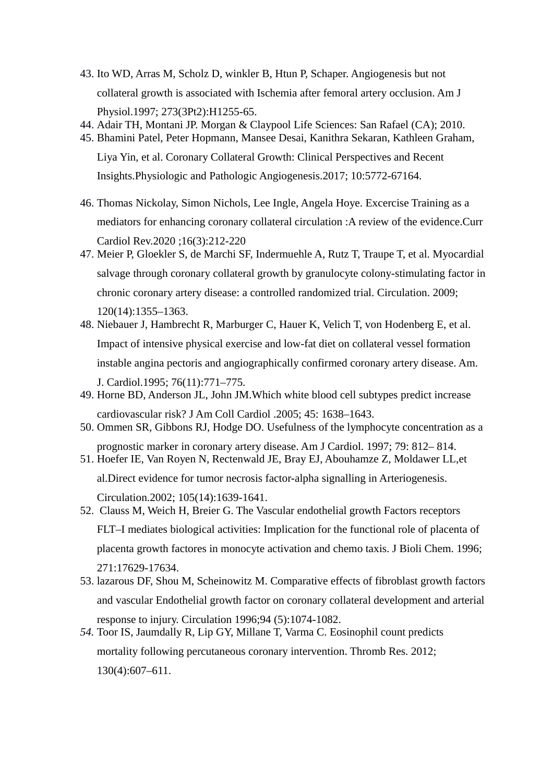- 43. Ito WD, Arras M, Scholz D, winkler B, Htun P, Schaper. Angiogenesis but not collateral growth is associated with Ischemia after femoral artery occlusion. Am J Physiol.1997; 273(3Pt2):H1255-65.
- 44. Adair TH, Montani JP. Morgan & Claypool Life Sciences: San Rafael (CA); 2010.
- 45. Bhamini Patel, Peter Hopmann, Mansee Desai, Kanithra Sekaran, Kathleen Graham, Liya Yin, et al. Coronary Collateral Growth: Clinical Perspectives and Recent

Insights.Physiologic and Pathologic Angiogenesis.2017; 10:5772-67164.

- 46. Thomas Nickolay, Simon Nichols, Lee Ingle, Angela Hoye. Excercise Training as a mediators for enhancing coronary collateral circulation :A review of the evidence.Curr Cardiol Rev.2020 ;16(3):212-220
- 47. Meier P, Gloekler S, de Marchi SF, Indermuehle A, Rutz T, Traupe T, et al. Myocardial salvage through coronary collateral growth by granulocyte colony-stimulating factor in chronic coronary artery disease: a controlled randomized trial. Circulation. 2009; 120(14):1355–1363.
- 48. Niebauer J, Hambrecht R, Marburger C, Hauer K, Velich T, von Hodenberg E, et al. Impact of intensive physical exercise and low-fat diet on collateral vessel formation instable angina pectoris and angiographically confirmed coronary artery disease. Am. J. Cardiol.1995; 76(11):771–775.
- 49. Horne BD, Anderson JL, John JM.Which white blood cell subtypes predict increase cardiovascular risk? J Am Coll Cardiol .2005; 45: 1638–1643.
- 50. Ommen SR, Gibbons RJ, Hodge DO. Usefulness of the lymphocyte concentration as a prognostic marker in coronary artery disease. Am J Cardiol. 1997; 79: 812– 814.
- 51. Hoefer IE, Van Royen N, Rectenwald JE, Bray EJ, Abouhamze Z, Moldawer LL,et al.Direct evidence for tumor necrosis factor-alpha signalling in Arteriogenesis. Circulation.2002; 105(14):1639-1641.
- 52. Clauss M, Weich H, Breier G. The Vascular endothelial growth Factors receptors FLT–I mediates biological activities: Implication for the functional role of placenta of placenta growth factores in monocyte activation and chemo taxis. J Bioli Chem. 1996; 271:17629-17634.
- 53. lazarous DF, Shou M, Scheinowitz M. Comparative effects of fibroblast growth factors and vascular Endothelial growth factor on coronary collateral development and arterial response to injury. Circulation 1996;94 (5):1074-1082.
- *54.* Toor IS, Jaumdally R, Lip GY, Millane T, Varma C. Eosinophil count predicts mortality following percutaneous coronary intervention. Thromb Res. 2012; 130(4):607–611.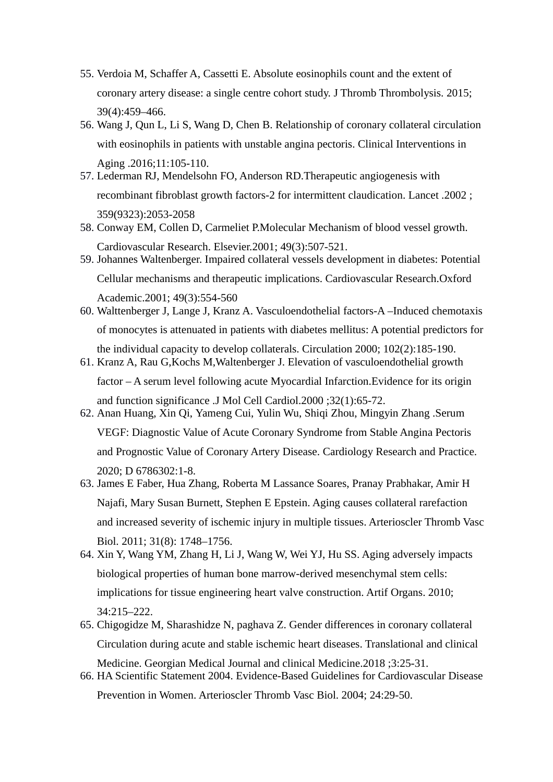- 55. Verdoia M, Schaffer A, Cassetti E. Absolute eosinophils count and the extent of coronary artery disease: a single centre cohort study. J Thromb Thrombolysis. 2015; 39(4):459–466.
- 56. Wang J, Qun L, Li S, Wang D, Chen B. Relationship of coronary collateral circulation with eosinophils in patients with unstable angina pectoris. Clinical Interventions in Aging .2016;11:105-110.
- 57. Lederman RJ, Mendelsohn FO, Anderson RD.Therapeutic angiogenesis with recombinant fibroblast growth factors-2 for intermittent claudication. Lancet .2002 ; 359(9323):2053-2058
- 58. Conway EM, Collen D, Carmeliet P.Molecular Mechanism of blood vessel growth. Cardiovascular Research. Elsevier.2001; 49(3):507-521.
- 59. Johannes Waltenberger. Impaired collateral vessels development in diabetes: Potential Cellular mechanisms and therapeutic implications. Cardiovascular Research.Oxford Academic.2001; 49(3):554-560
- 60. Walttenberger J, Lange J, Kranz A. Vasculoendothelial factors-A –Induced chemotaxis of monocytes is attenuated in patients with diabetes mellitus: A potential predictors for the individual capacity to develop collaterals. Circulation 2000; 102(2):185-190.
- 61. Kranz A, Rau G,Kochs M,Waltenberger J. Elevation of vasculoendothelial growth factor – A serum level following acute Myocardial Infarction.Evidence for its origin and function significance .J Mol Cell Cardiol.2000 ;32(1):65-72.
- 62. Anan Huang, Xin Qi, Yameng Cui, Yulin Wu, Shiqi Zhou, Mingyin Zhang .Serum VEGF: Diagnostic Value of Acute Coronary Syndrome from Stable Angina Pectoris and Prognostic Value of Coronary Artery Disease. Cardiology Research and Practice. 2020; D 6786302:1-8.
- 63. James E Faber, Hua Zhang, Roberta M Lassance Soares, Pranay Prabhakar, Amir H Najafi, Mary Susan Burnett, Stephen E Epstein. Aging causes collateral rarefaction and increased severity of ischemic injury in multiple tissues. Arterioscler Thromb Vasc Biol. 2011; 31(8): 1748–1756.
- 64. Xin Y, Wang YM, Zhang H, Li J, Wang W, Wei YJ, Hu SS. Aging adversely impacts biological properties of human bone marrow-derived mesenchymal stem cells: implications for tissue engineering heart valve construction. Artif Organs. 2010; 34:215–222.
- 65. Chigogidze M, Sharashidze N, paghava Z. Gender differences in coronary collateral Circulation during acute and stable ischemic heart diseases. Translational and clinical Medicine. Georgian Medical Journal and clinical Medicine.2018 ;3:25-31.
- 66. HA Scientific Statement 2004. Evidence-Based Guidelines for Cardiovascular Disease Prevention in Women. Arterioscler Thromb Vasc Biol. 2004; 24:29-50.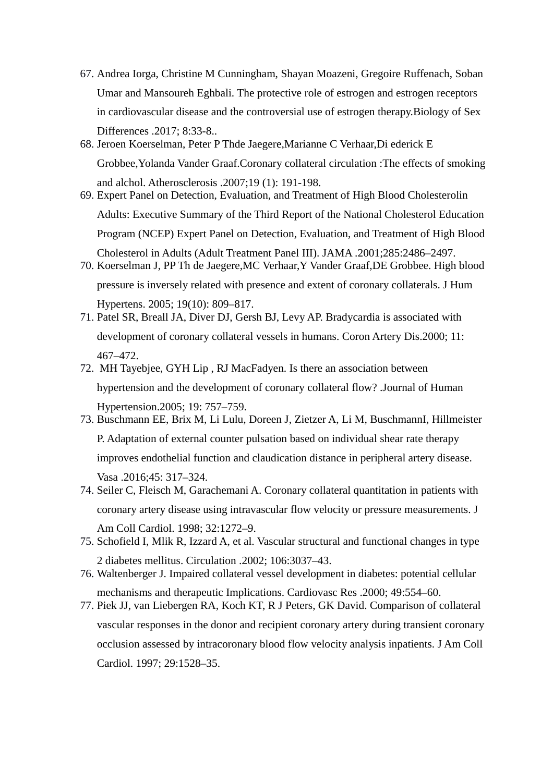- 67. Andrea Iorga, Christine M Cunningham, Shayan Moazeni, Gregoire Ruffenach, Soban Umar and Mansoureh Eghbali. The protective role of estrogen and estrogen receptors in cardiovascular disease and the controversial use of estrogen therapy.Biology of Sex Differences .2017; 8:33-8..
- 68. Jeroen Koerselman, Peter P Thde Jaegere,Marianne C Verhaar,Di ederick E Grobbee,Yolanda Vander Graaf.Coronary collateral circulation :The effects of smoking and alchol. Atherosclerosis .2007;19 (1): 191-198.
- 69. Expert Panel on Detection, Evaluation, and Treatment of High Blood Cholesterolin Adults: Executive Summary of the Third Report of the National Cholesterol Education Program (NCEP) Expert Panel on Detection, Evaluation, and Treatment of High Blood Cholesterol in Adults (Adult Treatment Panel III). JAMA .2001;285:2486–2497.
- 70. Koerselman J, PP Th de Jaegere,MC Verhaar,Y Vander Graaf,DE Grobbee. High blood pressure is inversely related with presence and extent of coronary collaterals. J Hum Hypertens. 2005; 19(10): 809–817.
- 71. Patel SR, Breall JA, Diver DJ, Gersh BJ, Levy AP. Bradycardia is associated with development of coronary collateral vessels in humans. Coron Artery Dis.2000; 11: 467–472.
- 72. MH Tayebjee, GYH Lip , RJ MacFadyen. Is there an association between hypertension and the development of coronary collateral flow? .Journal of Human Hypertension.2005; 19: 757–759.
- 73. Buschmann EE, Brix M, Li Lulu, Doreen J, Zietzer A, Li M, BuschmannI, Hillmeister P. Adaptation of external counter pulsation based on individual shear rate therapy improves endothelial function and claudication distance in peripheral artery disease. Vasa .2016;45: 317–324.
- 74. Seiler C, Fleisch M, Garachemani A. Coronary collateral quantitation in patients with coronary artery disease using intravascular flow velocity or pressure measurements. J Am Coll Cardiol. 1998; 32:1272–9.
- 75. Schofield I, Mlik R, Izzard A, et al. Vascular structural and functional changes in type 2 diabetes mellitus. Circulation .2002; 106:3037–43.
- 76. Waltenberger J. Impaired collateral vessel development in diabetes: potential cellular mechanisms and therapeutic Implications. Cardiovasc Res .2000; 49:554–60.
- 77. Piek JJ, van Liebergen RA, Koch KT, R J Peters, GK David. Comparison of collateral vascular responses in the donor and recipient coronary artery during transient coronary occlusion assessed by intracoronary blood flow velocity analysis inpatients. J Am Coll Cardiol. 1997; 29:1528–35.